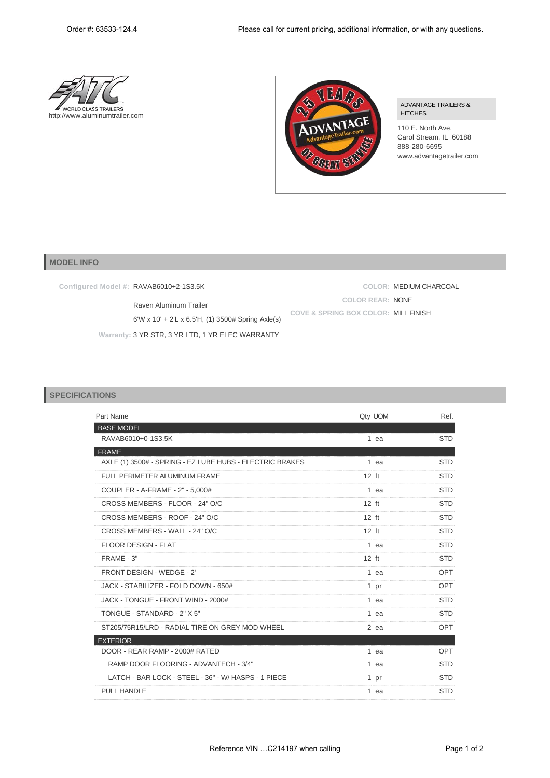



## ADVANTAGE TRAILERS & HITCHES

110 E. North Ave. Carol Stream, IL 60188 888-280-6695 www.advantagetrailer.com

**COLOR:** MEDIUM CHARCOAL

**COLOR REAR:** NONE

**COVE & SPRING BOX COLOR:** MILL FINISH

## **MODEL INFO**

**Configured Model #:** RAVAB6010+2-1S3.5K

Raven Aluminum Trailer

6'W x 10' + 2'L x 6.5'H, (1) 3500# Spring Axle(s)

**Warranty:** 3 YR STR, 3 YR LTD, 1 YR ELEC WARRANTY

## **SPECIFICATIONS**

| Part Name                                                | Qty UOM | Ref.       |
|----------------------------------------------------------|---------|------------|
| <b>BASE MODEL</b>                                        |         |            |
| RAVAB6010+0-1S3.5K                                       | 1 ea    | <b>STD</b> |
| <b>FRAME</b>                                             |         |            |
| AXLE (1) 3500# - SPRING - EZ LUBE HUBS - ELECTRIC BRAKES | 1 ea    | <b>STD</b> |
| FULL PERIMETER ALUMINUM FRAME                            | $12$ ft | <b>STD</b> |
| COUPLER - A-FRAME - 2" - 5,000#                          | 1 ea    | <b>STD</b> |
| CROSS MEMBERS - FLOOR - 24" O/C                          | $12$ ft | <b>STD</b> |
| CROSS MEMBERS - ROOF - 24" O/C                           | $12$ ft | <b>STD</b> |
| CROSS MEMBERS - WALL - 24" O/C                           | $12$ ft | <b>STD</b> |
| <b>FLOOR DESIGN - FLAT</b>                               | 1 ea    | <b>STD</b> |
| FRAME - 3"                                               | $12$ ft | <b>STD</b> |
| FRONT DESIGN - WEDGE - 2'                                | 1 ea    | OPT        |
| JACK - STABILIZER - FOLD DOWN - 650#                     | 1 pr    | OPT        |
| JACK - TONGUE - FRONT WIND - 2000#                       | 1 ea    | <b>STD</b> |
| TONGUE - STANDARD - 2" X 5"                              | 1 ea    | <b>STD</b> |
| ST205/75R15/LRD - RADIAL TIRE ON GREY MOD WHEEL          | $2$ ea  | OPT        |
| <b>EXTERIOR</b>                                          |         |            |
| DOOR - REAR RAMP - 2000# RATED                           | 1 ea    | OPT        |
| RAMP DOOR FLOORING - ADVANTECH - 3/4"                    | 1 ea    | <b>STD</b> |
| LATCH - BAR LOCK - STEEL - 36" - W/ HASPS - 1 PIECE      | 1 pr    | <b>STD</b> |
| <b>PULL HANDLE</b>                                       | 1 ea    | <b>STD</b> |